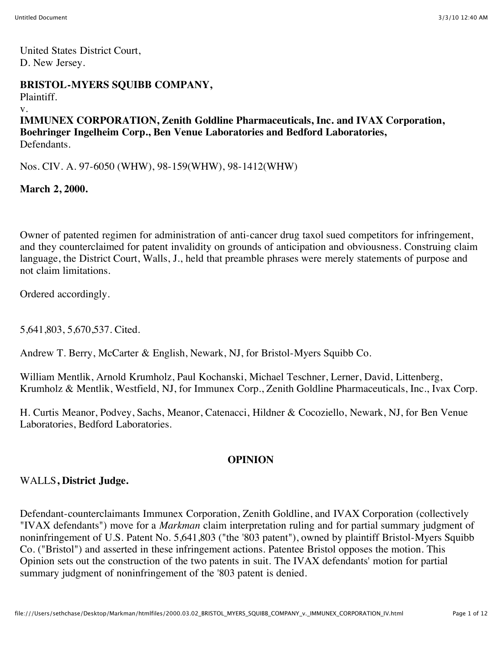United States District Court, D. New Jersey.

### **BRISTOL-MYERS SQUIBB COMPANY,**

Plaintiff.

v.

#### **IMMUNEX CORPORATION, Zenith Goldline Pharmaceuticals, Inc. and IVAX Corporation, Boehringer Ingelheim Corp., Ben Venue Laboratories and Bedford Laboratories,** Defendants.

Nos. CIV. A. 97-6050 (WHW), 98-159(WHW), 98-1412(WHW)

### **March 2, 2000.**

Owner of patented regimen for administration of anti-cancer drug taxol sued competitors for infringement, and they counterclaimed for patent invalidity on grounds of anticipation and obviousness. Construing claim language, the District Court, Walls, J., held that preamble phrases were merely statements of purpose and not claim limitations.

Ordered accordingly.

5,641,803, 5,670,537. Cited.

Andrew T. Berry, McCarter & English, Newark, NJ, for Bristol-Myers Squibb Co.

William Mentlik, Arnold Krumholz, Paul Kochanski, Michael Teschner, Lerner, David, Littenberg, Krumholz & Mentlik, Westfield, NJ, for Immunex Corp., Zenith Goldline Pharmaceuticals, Inc., Ivax Corp.

H. Curtis Meanor, Podvey, Sachs, Meanor, Catenacci, Hildner & Cocoziello, Newark, NJ, for Ben Venue Laboratories, Bedford Laboratories.

### **OPINION**

### WALLS**, District Judge.**

Defendant-counterclaimants Immunex Corporation, Zenith Goldline, and IVAX Corporation (collectively "IVAX defendants") move for a *Markman* claim interpretation ruling and for partial summary judgment of noninfringement of U.S. Patent No. 5,641,803 ("the '803 patent"), owned by plaintiff Bristol-Myers Squibb Co. ("Bristol") and asserted in these infringement actions. Patentee Bristol opposes the motion. This Opinion sets out the construction of the two patents in suit. The IVAX defendants' motion for partial summary judgment of noninfringement of the '803 patent is denied.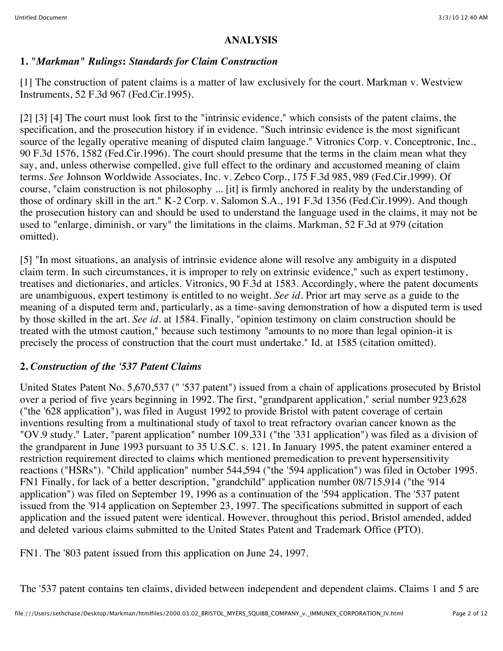#### **ANALYSIS**

### **1.** *"Markman" Rulings***:** *Standards for Claim Construction*

[1] The construction of patent claims is a matter of law exclusively for the court. Markman v. Westview Instruments, 52 F.3d 967 (Fed.Cir.1995).

[2] [3] [4] The court must look first to the "intrinsic evidence," which consists of the patent claims, the specification, and the prosecution history if in evidence. "Such intrinsic evidence is the most significant source of the legally operative meaning of disputed claim language." Vitronics Corp. v. Conceptronic, Inc., 90 F.3d 1576, 1582 (Fed.Cir.1996). The court should presume that the terms in the claim mean what they say, and, unless otherwise compelled, give full effect to the ordinary and accustomed meaning of claim terms. *See* Johnson Worldwide Associates, Inc. v. Zebco Corp., 175 F.3d 985, 989 (Fed.Cir.1999). Of course, "claim construction is not philosophy ... [it] is firmly anchored in reality by the understanding of those of ordinary skill in the art." K-2 Corp. v. Salomon S.A., 191 F.3d 1356 (Fed.Cir.1999). And though the prosecution history can and should be used to understand the language used in the claims, it may not be used to "enlarge, diminish, or vary" the limitations in the claims. Markman, 52 F.3d at 979 (citation omitted).

[5] "In most situations, an analysis of intrinsic evidence alone will resolve any ambiguity in a disputed claim term. In such circumstances, it is improper to rely on extrinsic evidence," such as expert testimony, treatises and dictionaries, and articles. Vitronics, 90 F.3d at 1583. Accordingly, where the patent documents are unambiguous, expert testimony is entitled to no weight. *See id.* Prior art may serve as a guide to the meaning of a disputed term and, particularly, as a time-saving demonstration of how a disputed term is used by those skilled in the art. *See id.* at 1584. Finally, "opinion testimony on claim construction should be treated with the utmost caution," because such testimony "amounts to no more than legal opinion-it is precisely the process of construction that the court must undertake." Id. at 1585 (citation omitted).

## **2.** *Construction of the '537 Patent Claims*

United States Patent No. 5,670,537 (" '537 patent") issued from a chain of applications prosecuted by Bristol over a period of five years beginning in 1992. The first, "grandparent application," serial number 923,628 ("the '628 application"), was filed in August 1992 to provide Bristol with patent coverage of certain inventions resulting from a multinational study of taxol to treat refractory ovarian cancer known as the "OV.9 study." Later, "parent application" number 109,331 ("the '331 application") was filed as a division of the grandparent in June 1993 pursuant to 35 U.S.C. s. 121. In January 1995, the patent examiner entered a restriction requirement directed to claims which mentioned premedication to prevent hypersensitivity reactions ("HSRs"). "Child application" number 544,594 ("the '594 application") was filed in October 1995. FN1 Finally, for lack of a better description, "grandchild" application number 08/715,914 ("the '914 application") was filed on September 19, 1996 as a continuation of the '594 application. The '537 patent issued from the '914 application on September 23, 1997. The specifications submitted in support of each application and the issued patent were identical. However, throughout this period, Bristol amended, added and deleted various claims submitted to the United States Patent and Trademark Office (PTO).

FN1. The '803 patent issued from this application on June 24, 1997.

The '537 patent contains ten claims, divided between independent and dependent claims. Claims 1 and 5 are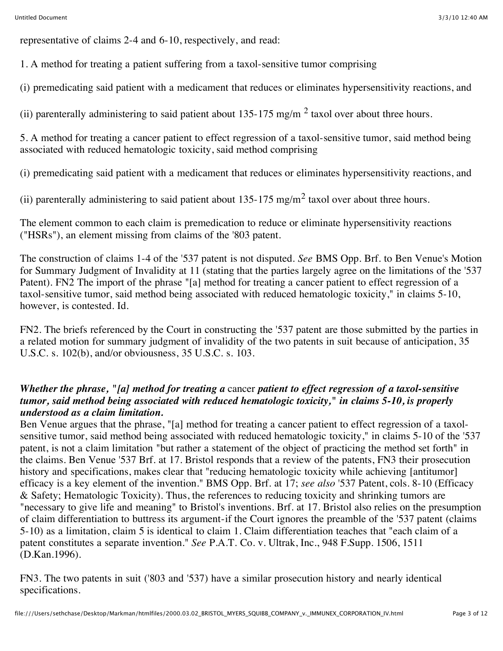representative of claims 2-4 and 6-10, respectively, and read:

1. A method for treating a patient suffering from a taxol-sensitive tumor comprising

(i) premedicating said patient with a medicament that reduces or eliminates hypersensitivity reactions, and

(ii) parenterally administering to said patient about  $135-175$  mg/m<sup>2</sup> taxol over about three hours.

5. A method for treating a cancer patient to effect regression of a taxol-sensitive tumor, said method being associated with reduced hematologic toxicity, said method comprising

(i) premedicating said patient with a medicament that reduces or eliminates hypersensitivity reactions, and

(ii) parenterally administering to said patient about 135-175 mg/m<sup>2</sup> taxol over about three hours.

The element common to each claim is premedication to reduce or eliminate hypersensitivity reactions ("HSRs"), an element missing from claims of the '803 patent.

The construction of claims 1-4 of the '537 patent is not disputed. *See* BMS Opp. Brf. to Ben Venue's Motion for Summary Judgment of Invalidity at 11 (stating that the parties largely agree on the limitations of the '537 Patent). FN2 The import of the phrase "[a] method for treating a cancer patient to effect regression of a taxol-sensitive tumor, said method being associated with reduced hematologic toxicity," in claims 5-10, however, is contested. Id.

FN2. The briefs referenced by the Court in constructing the '537 patent are those submitted by the parties in a related motion for summary judgment of invalidity of the two patents in suit because of anticipation, 35 U.S.C. s. 102(b), and/or obviousness, 35 U.S.C. s. 103.

## *Whether the phrase, "[a] method for treating a* cancer *patient to effect regression of a taxol-sensitive tumor, said method being associated with reduced hematologic toxicity," in claims 5-10, is properly understood as a claim limitation.*

Ben Venue argues that the phrase, "[a] method for treating a cancer patient to effect regression of a taxolsensitive tumor, said method being associated with reduced hematologic toxicity," in claims 5-10 of the '537 patent, is not a claim limitation "but rather a statement of the object of practicing the method set forth" in the claims. Ben Venue '537 Brf. at 17. Bristol responds that a review of the patents, FN3 their prosecution history and specifications, makes clear that "reducing hematologic toxicity while achieving [antitumor] efficacy is a key element of the invention." BMS Opp. Brf. at 17; *see also* '537 Patent, cols. 8-10 (Efficacy & Safety; Hematologic Toxicity). Thus, the references to reducing toxicity and shrinking tumors are "necessary to give life and meaning" to Bristol's inventions. Brf. at 17. Bristol also relies on the presumption of claim differentiation to buttress its argument-if the Court ignores the preamble of the '537 patent (claims 5-10) as a limitation, claim 5 is identical to claim 1. Claim differentiation teaches that "each claim of a patent constitutes a separate invention." *See* P.A.T. Co. v. Ultrak, Inc., 948 F.Supp. 1506, 1511 (D.Kan.1996).

FN3. The two patents in suit ('803 and '537) have a similar prosecution history and nearly identical specifications.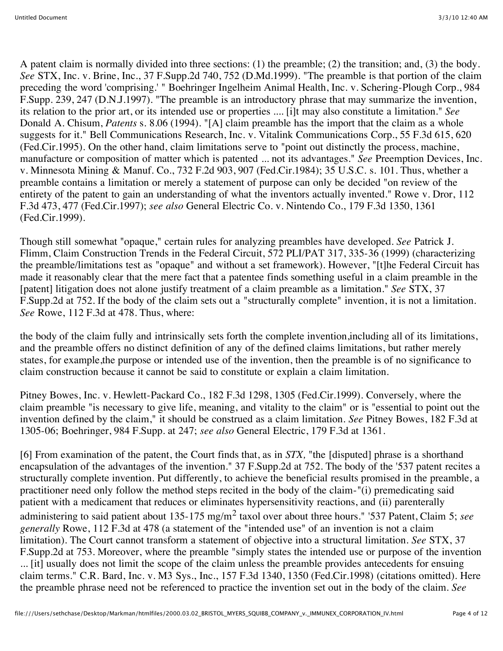A patent claim is normally divided into three sections: (1) the preamble; (2) the transition; and, (3) the body. *See* STX, Inc. v. Brine, Inc., 37 F.Supp.2d 740, 752 (D.Md.1999). "The preamble is that portion of the claim preceding the word 'comprising.' " Boehringer Ingelheim Animal Health, Inc. v. Schering-Plough Corp., 984 F.Supp. 239, 247 (D.N.J.1997). "The preamble is an introductory phrase that may summarize the invention, its relation to the prior art, or its intended use or properties .... [i]t may also constitute a limitation." *See* Donald A. Chisum, *Patents* s. 8.06 (1994). "[A] claim preamble has the import that the claim as a whole suggests for it." Bell Communications Research, Inc. v. Vitalink Communications Corp., 55 F.3d 615, 620 (Fed.Cir.1995). On the other hand, claim limitations serve to "point out distinctly the process, machine, manufacture or composition of matter which is patented ... not its advantages." *See* Preemption Devices, Inc. v. Minnesota Mining & Manuf. Co., 732 F.2d 903, 907 (Fed.Cir.1984); 35 U.S.C. s. 101. Thus, whether a preamble contains a limitation or merely a statement of purpose can only be decided "on review of the entirety of the patent to gain an understanding of what the inventors actually invented." Rowe v. Dror, 112 F.3d 473, 477 (Fed.Cir.1997); *see also* General Electric Co. v. Nintendo Co., 179 F.3d 1350, 1361 (Fed.Cir.1999).

Though still somewhat "opaque," certain rules for analyzing preambles have developed. *See* Patrick J. Flimm, Claim Construction Trends in the Federal Circuit, 572 PLI/PAT 317, 335-36 (1999) (characterizing the preamble/limitations test as "opaque" and without a set framework). However, "[t]he Federal Circuit has made it reasonably clear that the mere fact that a patentee finds something useful in a claim preamble in the [patent] litigation does not alone justify treatment of a claim preamble as a limitation." *See* STX, 37 F.Supp.2d at 752. If the body of the claim sets out a "structurally complete" invention, it is not a limitation. *See* Rowe, 112 F.3d at 478. Thus, where:

the body of the claim fully and intrinsically sets forth the complete invention,including all of its limitations, and the preamble offers no distinct definition of any of the defined claims limitations, but rather merely states, for example,the purpose or intended use of the invention, then the preamble is of no significance to claim construction because it cannot be said to constitute or explain a claim limitation.

Pitney Bowes, Inc. v. Hewlett-Packard Co., 182 F.3d 1298, 1305 (Fed.Cir.1999). Conversely, where the claim preamble "is necessary to give life, meaning, and vitality to the claim" or is "essential to point out the invention defined by the claim," it should be construed as a claim limitation. *See* Pitney Bowes, 182 F.3d at 1305-06; Boehringer, 984 F.Supp. at 247; *see also* General Electric, 179 F.3d at 1361.

[6] From examination of the patent, the Court finds that, as in *STX,* "the [disputed] phrase is a shorthand encapsulation of the advantages of the invention." 37 F.Supp.2d at 752. The body of the '537 patent recites a structurally complete invention. Put differently, to achieve the beneficial results promised in the preamble, a practitioner need only follow the method steps recited in the body of the claim-"(i) premedicating said patient with a medicament that reduces or eliminates hypersensitivity reactions, and (ii) parenterally administering to said patient about 135-175 mg/m2 taxol over about three hours." '537 Patent, Claim 5; *see generally* Rowe, 112 F.3d at 478 (a statement of the "intended use" of an invention is not a claim limitation). The Court cannot transform a statement of objective into a structural limitation. *See* STX, 37 F.Supp.2d at 753. Moreover, where the preamble "simply states the intended use or purpose of the invention ... [it] usually does not limit the scope of the claim unless the preamble provides antecedents for ensuing claim terms." C.R. Bard, Inc. v. M3 Sys., Inc., 157 F.3d 1340, 1350 (Fed.Cir.1998) (citations omitted). Here the preamble phrase need not be referenced to practice the invention set out in the body of the claim. *See*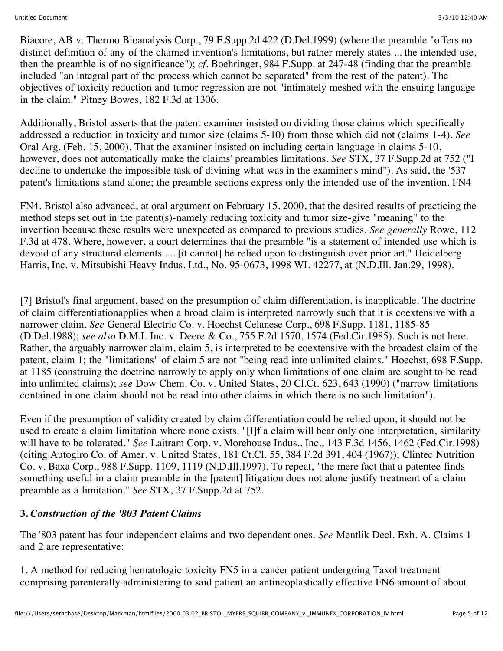Biacore, AB v. Thermo Bioanalysis Corp., 79 F.Supp.2d 422 (D.Del.1999) (where the preamble "offers no distinct definition of any of the claimed invention's limitations, but rather merely states ... the intended use, then the preamble is of no significance"); *cf.* Boehringer, 984 F.Supp. at 247-48 (finding that the preamble included "an integral part of the process which cannot be separated" from the rest of the patent). The objectives of toxicity reduction and tumor regression are not "intimately meshed with the ensuing language in the claim." Pitney Bowes, 182 F.3d at 1306.

Additionally, Bristol asserts that the patent examiner insisted on dividing those claims which specifically addressed a reduction in toxicity and tumor size (claims 5-10) from those which did not (claims 1-4). *See* Oral Arg. (Feb. 15, 2000). That the examiner insisted on including certain language in claims 5-10, however, does not automatically make the claims' preambles limitations. *See* STX, 37 F.Supp.2d at 752 ("I decline to undertake the impossible task of divining what was in the examiner's mind"). As said, the '537 patent's limitations stand alone; the preamble sections express only the intended use of the invention. FN4

FN4. Bristol also advanced, at oral argument on February 15, 2000, that the desired results of practicing the method steps set out in the patent(s)-namely reducing toxicity and tumor size-give "meaning" to the invention because these results were unexpected as compared to previous studies. *See generally* Rowe, 112 F.3d at 478. Where, however, a court determines that the preamble "is a statement of intended use which is devoid of any structural elements .... [it cannot] be relied upon to distinguish over prior art." Heidelberg Harris, Inc. v. Mitsubishi Heavy Indus. Ltd., No. 95-0673, 1998 WL 42277, at (N.D.Ill. Jan.29, 1998).

[7] Bristol's final argument, based on the presumption of claim differentiation, is inapplicable. The doctrine of claim differentiationapplies when a broad claim is interpreted narrowly such that it is coextensive with a narrower claim. *See* General Electric Co. v. Hoechst Celanese Corp., 698 F.Supp. 1181, 1185-85 (D.Del.1988); *see also* D.M.I. Inc. v. Deere & Co., 755 F.2d 1570, 1574 (Fed.Cir.1985). Such is not here. Rather, the arguably narrower claim, claim 5, is interpreted to be coextensive with the broadest claim of the patent, claim 1; the "limitations" of claim 5 are not "being read into unlimited claims." Hoechst, 698 F.Supp. at 1185 (construing the doctrine narrowly to apply only when limitations of one claim are sought to be read into unlimited claims); *see* Dow Chem. Co. v. United States, 20 Cl.Ct. 623, 643 (1990) ("narrow limitations contained in one claim should not be read into other claims in which there is no such limitation").

Even if the presumption of validity created by claim differentiation could be relied upon, it should not be used to create a claim limitation where none exists. "[I]f a claim will bear only one interpretation, similarity will have to be tolerated." *See* Laitram Corp. v. Morehouse Indus., Inc., 143 F.3d 1456, 1462 (Fed.Cir.1998) (citing Autogiro Co. of Amer. v. United States, 181 Ct.Cl. 55, 384 F.2d 391, 404 (1967)); Clintec Nutrition Co. v. Baxa Corp., 988 F.Supp. 1109, 1119 (N.D.Ill.1997). To repeat, "the mere fact that a patentee finds something useful in a claim preamble in the [patent] litigation does not alone justify treatment of a claim preamble as a limitation." *See* STX, 37 F.Supp.2d at 752.

## **3.** *Construction of the '803 Patent Claims*

The '803 patent has four independent claims and two dependent ones. *See* Mentlik Decl. Exh. A. Claims 1 and 2 are representative:

1. A method for reducing hematologic toxicity FN5 in a cancer patient undergoing Taxol treatment comprising parenterally administering to said patient an antineoplastically effective FN6 amount of about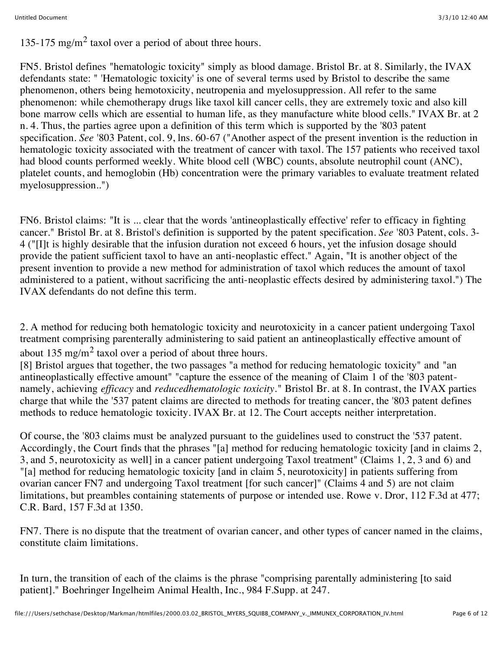135-175 mg/m<sup>2</sup> taxol over a period of about three hours.

FN5. Bristol defines "hematologic toxicity" simply as blood damage. Bristol Br. at 8. Similarly, the IVAX defendants state: " 'Hematologic toxicity' is one of several terms used by Bristol to describe the same phenomenon, others being hemotoxicity, neutropenia and myelosuppression. All refer to the same phenomenon: while chemotherapy drugs like taxol kill cancer cells, they are extremely toxic and also kill bone marrow cells which are essential to human life, as they manufacture white blood cells." IVAX Br. at 2 n. 4. Thus, the parties agree upon a definition of this term which is supported by the '803 patent specification. *See* '803 Patent, col. 9, lns. 60-67 ("Another aspect of the present invention is the reduction in hematologic toxicity associated with the treatment of cancer with taxol. The 157 patients who received taxol had blood counts performed weekly. White blood cell (WBC) counts, absolute neutrophil count (ANC), platelet counts, and hemoglobin (Hb) concentration were the primary variables to evaluate treatment related myelosuppression..")

FN6. Bristol claims: "It is ... clear that the words 'antineoplastically effective' refer to efficacy in fighting cancer." Bristol Br. at 8. Bristol's definition is supported by the patent specification. *See* '803 Patent, cols. 3- 4 ("[I]t is highly desirable that the infusion duration not exceed 6 hours, yet the infusion dosage should provide the patient sufficient taxol to have an anti-neoplastic effect." Again, "It is another object of the present invention to provide a new method for administration of taxol which reduces the amount of taxol administered to a patient, without sacrificing the anti-neoplastic effects desired by administering taxol.") The IVAX defendants do not define this term.

2. A method for reducing both hematologic toxicity and neurotoxicity in a cancer patient undergoing Taxol treatment comprising parenterally administering to said patient an antineoplastically effective amount of about 135 mg/m<sup>2</sup> taxol over a period of about three hours.

[8] Bristol argues that together, the two passages "a method for reducing hematologic toxicity" and "an antineoplastically effective amount" "capture the essence of the meaning of Claim 1 of the '803 patentnamely, achieving *efficacy* and *reducedhematologic toxicity.*" Bristol Br. at 8. In contrast, the IVAX parties charge that while the '537 patent claims are directed to methods for treating cancer, the '803 patent defines methods to reduce hematologic toxicity. IVAX Br. at 12. The Court accepts neither interpretation.

Of course, the '803 claims must be analyzed pursuant to the guidelines used to construct the '537 patent. Accordingly, the Court finds that the phrases "[a] method for reducing hematologic toxicity [and in claims 2, 3, and 5, neurotoxicity as well] in a cancer patient undergoing Taxol treatment" (Claims 1, 2, 3 and 6) and "[a] method for reducing hematologic toxicity [and in claim 5, neurotoxicity] in patients suffering from ovarian cancer FN7 and undergoing Taxol treatment [for such cancer]" (Claims 4 and 5) are not claim limitations, but preambles containing statements of purpose or intended use. Rowe v. Dror, 112 F.3d at 477; C.R. Bard, 157 F.3d at 1350.

FN7. There is no dispute that the treatment of ovarian cancer, and other types of cancer named in the claims, constitute claim limitations.

In turn, the transition of each of the claims is the phrase "comprising parentally administering [to said patient]." Boehringer Ingelheim Animal Health, Inc., 984 F.Supp. at 247.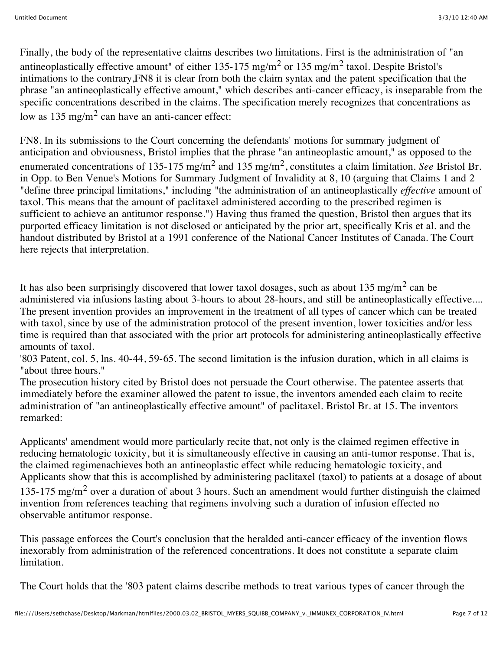Finally, the body of the representative claims describes two limitations. First is the administration of "an antineoplastically effective amount" of either  $135-175$  mg/m<sup>2</sup> or  $135$  mg/m<sup>2</sup> taxol. Despite Bristol's intimations to the contrary,FN8 it is clear from both the claim syntax and the patent specification that the phrase "an antineoplastically effective amount," which describes anti-cancer efficacy, is inseparable from the specific concentrations described in the claims. The specification merely recognizes that concentrations as low as  $135 \text{ mg/m}^2$  can have an anti-cancer effect:

FN8. In its submissions to the Court concerning the defendants' motions for summary judgment of anticipation and obviousness, Bristol implies that the phrase "an antineoplastic amount," as opposed to the enumerated concentrations of 135-175 mg/m<sup>2</sup> and 135 mg/m<sup>2</sup>, constitutes a claim limitation. *See* Bristol Br. in Opp. to Ben Venue's Motions for Summary Judgment of Invalidity at 8, 10 (arguing that Claims 1 and 2 "define three principal limitations," including "the administration of an antineoplastically *effective* amount of taxol. This means that the amount of paclitaxel administered according to the prescribed regimen is sufficient to achieve an antitumor response.") Having thus framed the question, Bristol then argues that its purported efficacy limitation is not disclosed or anticipated by the prior art, specifically Kris et al. and the handout distributed by Bristol at a 1991 conference of the National Cancer Institutes of Canada. The Court here rejects that interpretation.

It has also been surprisingly discovered that lower taxol dosages, such as about 135 mg/m<sup>2</sup> can be administered via infusions lasting about 3-hours to about 28-hours, and still be antineoplastically effective.... The present invention provides an improvement in the treatment of all types of cancer which can be treated with taxol, since by use of the administration protocol of the present invention, lower toxicities and/or less time is required than that associated with the prior art protocols for administering antineoplastically effective amounts of taxol.

'803 Patent, col. 5, lns. 40-44, 59-65. The second limitation is the infusion duration, which in all claims is "about three hours."

The prosecution history cited by Bristol does not persuade the Court otherwise. The patentee asserts that immediately before the examiner allowed the patent to issue, the inventors amended each claim to recite administration of "an antineoplastically effective amount" of paclitaxel. Bristol Br. at 15. The inventors remarked:

Applicants' amendment would more particularly recite that, not only is the claimed regimen effective in reducing hematologic toxicity, but it is simultaneously effective in causing an anti-tumor response. That is, the claimed regimenachieves both an antineoplastic effect while reducing hematologic toxicity, and Applicants show that this is accomplished by administering paclitaxel (taxol) to patients at a dosage of about 135-175 mg/m<sup>2</sup> over a duration of about 3 hours. Such an amendment would further distinguish the claimed invention from references teaching that regimens involving such a duration of infusion effected no observable antitumor response.

This passage enforces the Court's conclusion that the heralded anti-cancer efficacy of the invention flows inexorably from administration of the referenced concentrations. It does not constitute a separate claim limitation.

The Court holds that the '803 patent claims describe methods to treat various types of cancer through the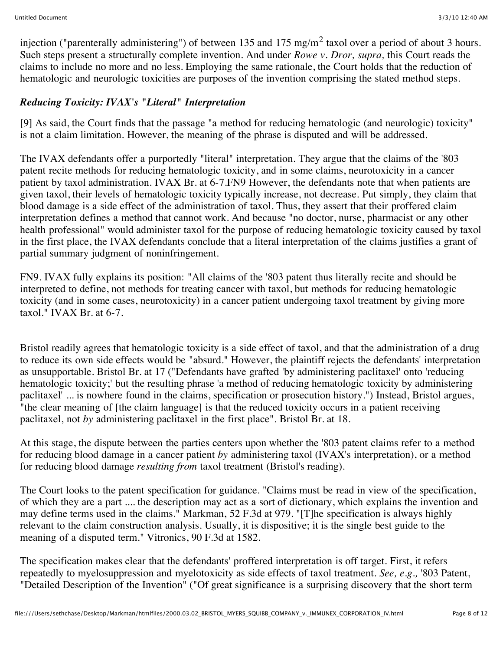injection ("parenterally administering") of between 135 and 175 mg/m<sup>2</sup> taxol over a period of about 3 hours. Such steps present a structurally complete invention. And under *Rowe v. Dror, supra,* this Court reads the claims to include no more and no less. Employing the same rationale, the Court holds that the reduction of hematologic and neurologic toxicities are purposes of the invention comprising the stated method steps.

## *Reducing Toxicity: IVAX's "Literal" Interpretation*

[9] As said, the Court finds that the passage "a method for reducing hematologic (and neurologic) toxicity" is not a claim limitation. However, the meaning of the phrase is disputed and will be addressed.

The IVAX defendants offer a purportedly "literal" interpretation. They argue that the claims of the '803 patent recite methods for reducing hematologic toxicity, and in some claims, neurotoxicity in a cancer patient by taxol administration. IVAX Br. at 6-7.FN9 However, the defendants note that when patients are given taxol, their levels of hematologic toxicity typically increase, not decrease. Put simply, they claim that blood damage is a side effect of the administration of taxol. Thus, they assert that their proffered claim interpretation defines a method that cannot work. And because "no doctor, nurse, pharmacist or any other health professional" would administer taxol for the purpose of reducing hematologic toxicity caused by taxol in the first place, the IVAX defendants conclude that a literal interpretation of the claims justifies a grant of partial summary judgment of noninfringement.

FN9. IVAX fully explains its position: "All claims of the '803 patent thus literally recite and should be interpreted to define, not methods for treating cancer with taxol, but methods for reducing hematologic toxicity (and in some cases, neurotoxicity) in a cancer patient undergoing taxol treatment by giving more taxol." IVAX Br. at 6-7.

Bristol readily agrees that hematologic toxicity is a side effect of taxol, and that the administration of a drug to reduce its own side effects would be "absurd." However, the plaintiff rejects the defendants' interpretation as unsupportable. Bristol Br. at 17 ("Defendants have grafted 'by administering paclitaxel' onto 'reducing hematologic toxicity;' but the resulting phrase 'a method of reducing hematologic toxicity by administering paclitaxel' ... is nowhere found in the claims, specification or prosecution history.") Instead, Bristol argues, "the clear meaning of [the claim language] is that the reduced toxicity occurs in a patient receiving paclitaxel, not *by* administering paclitaxel in the first place". Bristol Br. at 18.

At this stage, the dispute between the parties centers upon whether the '803 patent claims refer to a method for reducing blood damage in a cancer patient *by* administering taxol (IVAX's interpretation), or a method for reducing blood damage *resulting from* taxol treatment (Bristol's reading).

The Court looks to the patent specification for guidance. "Claims must be read in view of the specification, of which they are a part .... the description may act as a sort of dictionary, which explains the invention and may define terms used in the claims." Markman, 52 F.3d at 979. "[T]he specification is always highly relevant to the claim construction analysis. Usually, it is dispositive; it is the single best guide to the meaning of a disputed term." Vitronics, 90 F.3d at 1582.

The specification makes clear that the defendants' proffered interpretation is off target. First, it refers repeatedly to myelosuppression and myelotoxicity as side effects of taxol treatment. *See, e.g.,* '803 Patent, "Detailed Description of the Invention" ("Of great significance is a surprising discovery that the short term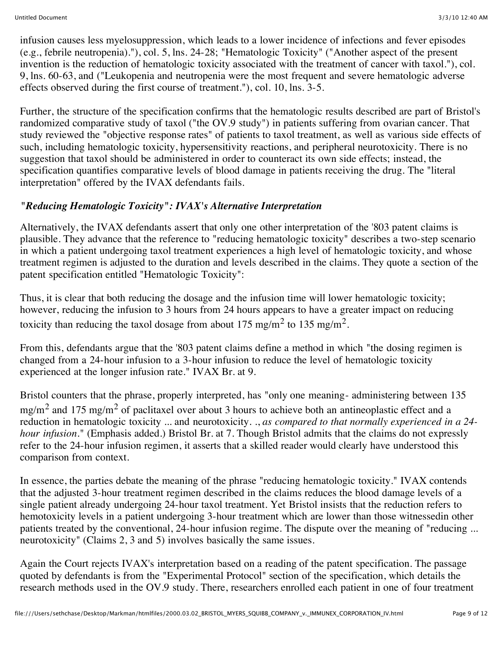infusion causes less myelosuppression, which leads to a lower incidence of infections and fever episodes (e.g., febrile neutropenia)."), col. 5, lns. 24-28; "Hematologic Toxicity" ("Another aspect of the present invention is the reduction of hematologic toxicity associated with the treatment of cancer with taxol."), col. 9, lns. 60-63, and ("Leukopenia and neutropenia were the most frequent and severe hematologic adverse effects observed during the first course of treatment."), col. 10, lns. 3-5.

Further, the structure of the specification confirms that the hematologic results described are part of Bristol's randomized comparative study of taxol ("the OV.9 study") in patients suffering from ovarian cancer. That study reviewed the "objective response rates" of patients to taxol treatment, as well as various side effects of such, including hematologic toxicity, hypersensitivity reactions, and peripheral neurotoxicity. There is no suggestion that taxol should be administered in order to counteract its own side effects; instead, the specification quantifies comparative levels of blood damage in patients receiving the drug. The "literal interpretation" offered by the IVAX defendants fails.

# *"Reducing Hematologic Toxicity": IVAX's Alternative Interpretation*

Alternatively, the IVAX defendants assert that only one other interpretation of the '803 patent claims is plausible. They advance that the reference to "reducing hematologic toxicity" describes a two-step scenario in which a patient undergoing taxol treatment experiences a high level of hematologic toxicity, and whose treatment regimen is adjusted to the duration and levels described in the claims. They quote a section of the patent specification entitled "Hematologic Toxicity":

Thus, it is clear that both reducing the dosage and the infusion time will lower hematologic toxicity; however, reducing the infusion to 3 hours from 24 hours appears to have a greater impact on reducing toxicity than reducing the taxol dosage from about 175 mg/m<sup>2</sup> to 135 mg/m<sup>2</sup>.

From this, defendants argue that the '803 patent claims define a method in which "the dosing regimen is changed from a 24-hour infusion to a 3-hour infusion to reduce the level of hematologic toxicity experienced at the longer infusion rate." IVAX Br. at 9.

Bristol counters that the phrase, properly interpreted, has "only one meaning- administering between 135  $mg/m<sup>2</sup>$  and 175 mg/m<sup>2</sup> of paclitaxel over about 3 hours to achieve both an antineoplastic effect and a reduction in hematologic toxicity ... and neurotoxicity. ., *as compared to that normally experienced in a 24 hour infusion.*" (Emphasis added.) Bristol Br. at 7. Though Bristol admits that the claims do not expressly refer to the 24-hour infusion regimen, it asserts that a skilled reader would clearly have understood this comparison from context.

In essence, the parties debate the meaning of the phrase "reducing hematologic toxicity." IVAX contends that the adjusted 3-hour treatment regimen described in the claims reduces the blood damage levels of a single patient already undergoing 24-hour taxol treatment. Yet Bristol insists that the reduction refers to hemotoxicity levels in a patient undergoing 3-hour treatment which are lower than those witnessedin other patients treated by the conventional, 24-hour infusion regime. The dispute over the meaning of "reducing ... neurotoxicity" (Claims 2, 3 and 5) involves basically the same issues.

Again the Court rejects IVAX's interpretation based on a reading of the patent specification. The passage quoted by defendants is from the "Experimental Protocol" section of the specification, which details the research methods used in the OV.9 study. There, researchers enrolled each patient in one of four treatment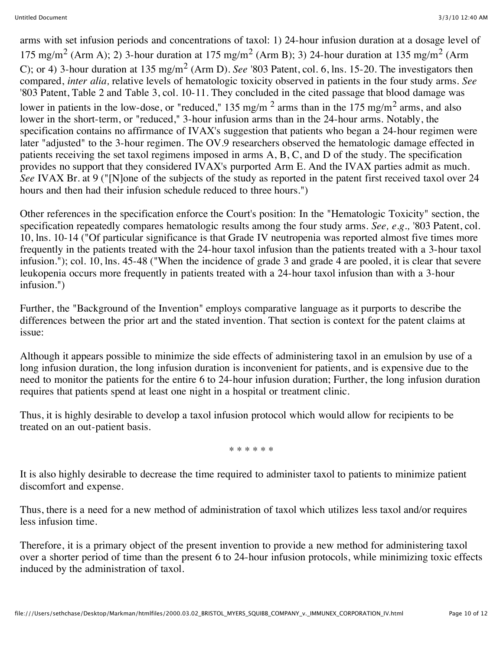arms with set infusion periods and concentrations of taxol: 1) 24-hour infusion duration at a dosage level of 175 mg/m<sup>2</sup> (Arm A); 2) 3-hour duration at 175 mg/m<sup>2</sup> (Arm B); 3) 24-hour duration at 135 mg/m<sup>2</sup> (Arm C); or 4) 3-hour duration at 135 mg/m2 (Arm D). *See* '803 Patent, col. 6, lns. 15-20. The investigators then compared, *inter alia,* relative levels of hematologic toxicity observed in patients in the four study arms. *See* '803 Patent, Table 2 and Table 3, col. 10-11. They concluded in the cited passage that blood damage was lower in patients in the low-dose, or "reduced," 135 mg/m<sup>2</sup> arms than in the 175 mg/m<sup>2</sup> arms, and also lower in the short-term, or "reduced," 3-hour infusion arms than in the 24-hour arms. Notably, the specification contains no affirmance of IVAX's suggestion that patients who began a 24-hour regimen were later "adjusted" to the 3-hour regimen. The OV.9 researchers observed the hematologic damage effected in patients receiving the set taxol regimens imposed in arms A, B, C, and D of the study. The specification provides no support that they considered IVAX's purported Arm E. And the IVAX parties admit as much. *See* IVAX Br. at 9 ("[N]one of the subjects of the study as reported in the patent first received taxol over 24 hours and then had their infusion schedule reduced to three hours.")

Other references in the specification enforce the Court's position: In the "Hematologic Toxicity" section, the specification repeatedly compares hematologic results among the four study arms. *See, e.g.,* '803 Patent, col. 10, lns. 10-14 ("Of particular significance is that Grade IV neutropenia was reported almost five times more frequently in the patients treated with the 24-hour taxol infusion than the patients treated with a 3-hour taxol infusion."); col. 10, lns. 45-48 ("When the incidence of grade 3 and grade 4 are pooled, it is clear that severe leukopenia occurs more frequently in patients treated with a 24-hour taxol infusion than with a 3-hour infusion.")

Further, the "Background of the Invention" employs comparative language as it purports to describe the differences between the prior art and the stated invention. That section is context for the patent claims at issue:

Although it appears possible to minimize the side effects of administering taxol in an emulsion by use of a long infusion duration, the long infusion duration is inconvenient for patients, and is expensive due to the need to monitor the patients for the entire 6 to 24-hour infusion duration; Further, the long infusion duration requires that patients spend at least one night in a hospital or treatment clinic.

Thus, it is highly desirable to develop a taxol infusion protocol which would allow for recipients to be treated on an out-patient basis.

\* \* \* \* \* \*

It is also highly desirable to decrease the time required to administer taxol to patients to minimize patient discomfort and expense.

Thus, there is a need for a new method of administration of taxol which utilizes less taxol and/or requires less infusion time.

Therefore, it is a primary object of the present invention to provide a new method for administering taxol over a shorter period of time than the present 6 to 24-hour infusion protocols, while minimizing toxic effects induced by the administration of taxol.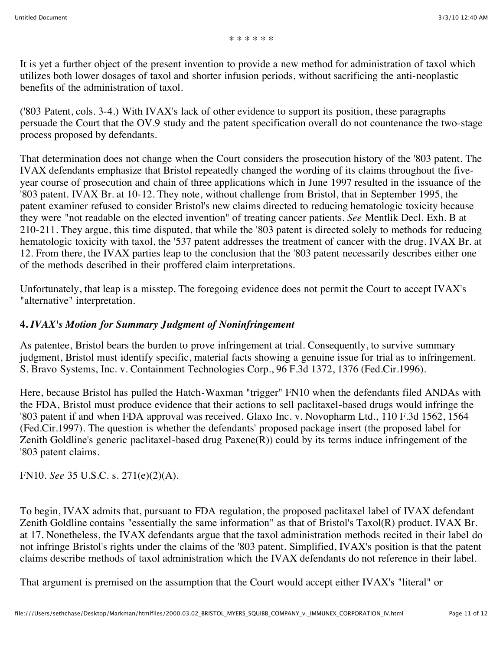It is yet a further object of the present invention to provide a new method for administration of taxol which utilizes both lower dosages of taxol and shorter infusion periods, without sacrificing the anti-neoplastic benefits of the administration of taxol.

('803 Patent, cols. 3-4.) With IVAX's lack of other evidence to support its position, these paragraphs persuade the Court that the OV.9 study and the patent specification overall do not countenance the two-stage process proposed by defendants.

That determination does not change when the Court considers the prosecution history of the '803 patent. The IVAX defendants emphasize that Bristol repeatedly changed the wording of its claims throughout the fiveyear course of prosecution and chain of three applications which in June 1997 resulted in the issuance of the '803 patent. IVAX Br. at 10-12. They note, without challenge from Bristol, that in September 1995, the patent examiner refused to consider Bristol's new claims directed to reducing hematologic toxicity because they were "not readable on the elected invention" of treating cancer patients. *See* Mentlik Decl. Exh. B at 210-211. They argue, this time disputed, that while the '803 patent is directed solely to methods for reducing hematologic toxicity with taxol, the '537 patent addresses the treatment of cancer with the drug. IVAX Br. at 12. From there, the IVAX parties leap to the conclusion that the '803 patent necessarily describes either one of the methods described in their proffered claim interpretations.

Unfortunately, that leap is a misstep. The foregoing evidence does not permit the Court to accept IVAX's "alternative" interpretation.

## **4.** *IVAX's Motion for Summary Judgment of Noninfringement*

As patentee, Bristol bears the burden to prove infringement at trial. Consequently, to survive summary judgment, Bristol must identify specific, material facts showing a genuine issue for trial as to infringement. S. Bravo Systems, Inc. v. Containment Technologies Corp., 96 F.3d 1372, 1376 (Fed.Cir.1996).

Here, because Bristol has pulled the Hatch-Waxman "trigger" FN10 when the defendants filed ANDAs with the FDA, Bristol must produce evidence that their actions to sell paclitaxel-based drugs would infringe the '803 patent if and when FDA approval was received. Glaxo Inc. v. Novopharm Ltd., 110 F.3d 1562, 1564 (Fed.Cir.1997). The question is whether the defendants' proposed package insert (the proposed label for Zenith Goldline's generic paclitaxel-based drug  $Paxene(R)$ ) could by its terms induce infringement of the '803 patent claims.

FN10. *See* 35 U.S.C. s. 271(e)(2)(A).

To begin, IVAX admits that, pursuant to FDA regulation, the proposed paclitaxel label of IVAX defendant Zenith Goldline contains "essentially the same information" as that of Bristol's Taxol(R) product. IVAX Br. at 17. Nonetheless, the IVAX defendants argue that the taxol administration methods recited in their label do not infringe Bristol's rights under the claims of the '803 patent. Simplified, IVAX's position is that the patent claims describe methods of taxol administration which the IVAX defendants do not reference in their label.

That argument is premised on the assumption that the Court would accept either IVAX's "literal" or